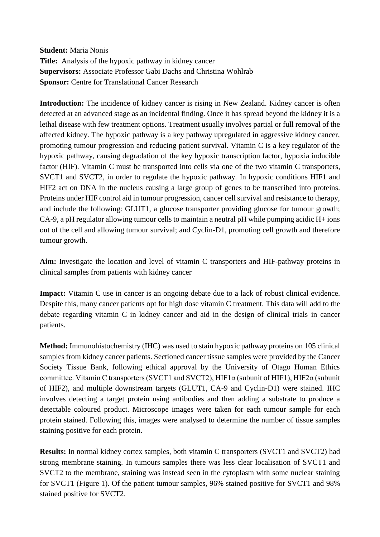**Student:** Maria Nonis **Title:** Analysis of the hypoxic pathway in kidney cancer **Supervisors:** Associate Professor Gabi Dachs and Christina Wohlrab **Sponsor: Centre for Translational Cancer Research** 

**Introduction:** The incidence of kidney cancer is rising in New Zealand. Kidney cancer is often detected at an advanced stage as an incidental finding. Once it has spread beyond the kidney it is a lethal disease with few treatment options. Treatment usually involves partial or full removal of the affected kidney. The hypoxic pathway is a key pathway upregulated in aggressive kidney cancer, promoting tumour progression and reducing patient survival. Vitamin C is a key regulator of the hypoxic pathway, causing degradation of the key hypoxic transcription factor, hypoxia inducible factor (HIF). Vitamin C must be transported into cells via one of the two vitamin C transporters, SVCT1 and SVCT2, in order to regulate the hypoxic pathway. In hypoxic conditions HIF1 and HIF2 act on DNA in the nucleus causing a large group of genes to be transcribed into proteins. Proteins under HIF control aid in tumour progression, cancer cell survival and resistance to therapy, and include the following: GLUT1, a glucose transporter providing glucose for tumour growth; CA-9, a pH regulator allowing tumour cells to maintain a neutral pH while pumping acidic H+ ions out of the cell and allowing tumour survival; and Cyclin-D1, promoting cell growth and therefore tumour growth.

**Aim:** Investigate the location and level of vitamin C transporters and HIF-pathway proteins in clinical samples from patients with kidney cancer

**Impact:** Vitamin C use in cancer is an ongoing debate due to a lack of robust clinical evidence. Despite this, many cancer patients opt for high dose vitamin C treatment. This data will add to the debate regarding vitamin C in kidney cancer and aid in the design of clinical trials in cancer patients.

**Method:** Immunohistochemistry (IHC) was used to stain hypoxic pathway proteins on 105 clinical samples from kidney cancer patients. Sectioned cancer tissue samples were provided by the Cancer Society Tissue Bank, following ethical approval by the University of Otago Human Ethics committee. Vitamin C transporters (SVCT1 and SVCT2), HIF1α (subunit of HIF1), HIF2α (subunit of HIF2), and multiple downstream targets (GLUT1, CA-9 and Cyclin-D1) were stained. IHC involves detecting a target protein using antibodies and then adding a substrate to produce a detectable coloured product. Microscope images were taken for each tumour sample for each protein stained. Following this, images were analysed to determine the number of tissue samples staining positive for each protein.

**Results:** In normal kidney cortex samples, both vitamin C transporters (SVCT1 and SVCT2) had strong membrane staining. In tumours samples there was less clear localisation of SVCT1 and SVCT2 to the membrane, staining was instead seen in the cytoplasm with some nuclear staining for SVCT1 (Figure 1). Of the patient tumour samples, 96% stained positive for SVCT1 and 98% stained positive for SVCT2.